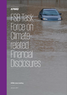

**KPMG client briefng** 

January 2017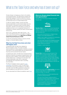# What is the Task Force and why has it been set up?

Climate change is emerging as a threat to the stability of the fnancial system. The G20 fnance ministers and Central Bank governors therefore asked the Financial Stability Board (FSB) to review how the fnancial sector can best take account of climate-related issues.

In order for investors, lenders, insurers and other fnancial stakeholders to build climate-related risks into their decisions, corporations need to provide relevant information. However, this information is currently not available and there is not a recognized framework for corporations to identify, quantity and report climate-related financial risks.

That is why, in December 2015, Mark Carney — the Chair of the FSB and Governor of the Bank of England announced the formation of the **Task Force on Climaterelated Financial Disclosures (TCFD)**.

It is the frst international initiative to examine climate change in a financial stability context.

### **What has the Task Force done and what will happen next?**

In December 2016, the Task Force released its Recommendations report. This report provides recommendations for data preparers to disclose consistent information on the climate-related risks and opportunities they face and the potential financial impacts.

In preparing this report, the Task Force reviewed existing disclosure initiatives and analyzed the gap between what exists and what is needed. It has worked to identify key climate-related risks, to catalogue the information that fnancial stakeholders need, and to understand the challenges that corporations face in providing this information.

The Recommendations report is open for [public](https://www.fsb-tcfd.org/publications/public-consultation/)  [consultation](https://www.fsb-tcfd.org/publications/public-consultation/) until February 12 2017. The Task Force will provide its final recommendations to the FSB in June after which the FSB is expected to present the recommendations at the G20 summit in July 2017.

You can download the full Recommendations report [here](https://www.fsb-tcfd.org/publications/recommendations-report/).

### **What are climate-related financial risks and opportunities?**

The Task Force is focusing on Transition risks and Physical risks:



**Transition Risks** include the financial and reputational impacts of failing to make a successful commercial transition to the low carbon economy. This covers the risks associated with:

- policy action that attempts to mitigate climate change or encourage adaptation to it
- litigation claims against companies for contributing to climate change, or failing to act on it
- new technology developments displacing existing technologies and infrastructure (e.g. renewable energy replacing coal plants)

changes in market dynamics.



disruption to a corporations operations and value **Physical risks** include the financial impacts of the physical effects of climate change. These include chain from extreme weather such as floods, droughts, heatwaves and hurricanes. They also include risks from longer-term shifts in climate patterns. For example sustained higher temperatures leading to sea level rise.



The Task Force also outlined **opportunities** that can be realized through efforts to mitigate and adapt to climate change. For example:

- Resource efficiency can reduce operating costs as well as curbing emissions
- opportunities to reduce their energy costs The cost of low emission energy sources is decreasing providing organizations with potential
- The growing global market for low emission products & services provides commercial opportunities for corporations.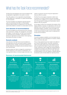# What has the Task Force recommended?

The Task Force has developed a set of recommendations that are applicable to organizations in any sector or country.

They offer guidance on how organizations should disclose climate-related risk in mainstream (i.e. public) financial filings (i.e. annual reports).

The recommendations are designed to generate decisionuseful, forward-looking information on climate-related financial impacts and also to increase focus on the risks and opportunities related to a transition to a lower-carbon economy.

#### **Core elements of recommendations**

The recommendations are structured around four thematic areas: governance, strategy, risk management, and metrics and targets. For each element, the Task Force has defned an overarching recommendation, supported by a set of disclosures organizations should include in their reporting. See breakout box below for details.

### **Scenario analysis**

A key element of the Task Force's recommendations is that organizations should use scenario analysis to assess potential business, strategic, and financial implications of climate-related risks and opportunities and disclose those in their financial filings.

Scenario analysis can help to manage the uncertainties of climate change as, for the majority of organizations, the most signifcant effects of climate change will be felt in the medium to long term and the timing and magnitude of these are difficult to predict.

The Task Force encourages companies to select a set of scenarios, to include a scenario that assumes global warming of 2°C in addition to 2 or 3 others, and to disclose how the organization's strategy and financial plans may be affected under the scenarios.

At this stage, the Task Force recognizes that analysis will be largely qualitative. However, for organizations with the most significant risks, the Task Force recommends some level of quantitative analysis, if possible. It also encourages such companies to disclose key inputs and assumptions related to their scenario analysis to allow users to understand the process and its limitations.

### **Principles**

The recommendations establish a set of principles that are likely to shape the future expectations of investors, lenders, insurers and other data users.

Firstly, climate-related financial risk needs to be called out as an issue for Board attention. Secondly, corporations need to thoroughly assess their climate-related fnancial risks and opportunities ideally through scenario planning. Thirdly, corporations need to adapt their existing ERM/risk management processes to be effective at identifying and managing climate-related fnancial risk. Finally, data users and data preparers must work together to develop effective and decision-useful climate-related risk reporting metrics.

## **Summary of recommended disclosures**



© 2017 KPMG International Cooperative ("KPMG International"). KPMG International provides no client services and is a Swiss entity with which the independent member frms of the KPMG network are affliated. All rights reserved.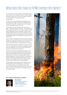# What does this mean for KPMG member firm clients?

Few corporations currently disclose climate-related financial risks. But that is set to change. Simply put, investors, lenders and insurers need much more, and much better, information on the fnancial risks corporations face from climate change.

The Task Force on Climate-related Financial Disclosures is a potential game changer. It has serious credibility with the involvement of the G20, the FSB and some of the biggest names in the global financial community.

The guidelines that have emerged, while voluntary, are likely — with the imprimatur of the FSB — to be accepted as de-facto global best practice. Or, at the very least, they will be used by regulators and stock exchanges to determine local standards. Board directors, as part of their fiduciary duty, will be expected to ensure they are applied so that the corporation reports appropriately on climate-related risk along with other material risks.

This is the start of the process. But as the impacts of climate change and the associated financial risks to business become more and more apparent, the financial sector's quest for decision-useful risk disclosure will become ever more urgent.

What can KPMG clients do to prepare? Our advice is to start now with a full assessment of where climate-related risk lies within the organization, with a focus on the transition and physical risks prioritized by the Task Force.

We also recommend that corporations assess the current state of their processes and data quality for identifying and reporting climate-related risks. This will include systems for reporting carbon emissions and progress against carbon reduction targets, but will have to go further to translate this data into fnancial risks. Assessing the linkage of climate change to risk management and scenario analyses will be critical in light of the Task Force's recommendations.

Understanding climate-related risks and building them into financial reporting will be challenging. So - while there is no immediate requirement to disclose the information publicly – take this time to get ahead. This way, in a few years when climate risk reporting becomes mainstream practice, you will be prepared.

### **For further information contact:**



# **Wim Bartels**

TCFD member and Partner, Corporate Reporting, KPMG in the Netherlands

[bartels.wim@kpmg.nl](mailto:bartels.wim@kpmg.nl) 

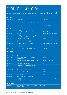# Who is on the Task Force?

The Task Force on Climate-related Financial Disclosures is an industry-led effort, chaired by Michael Bloomberg. It has 32 global members representing both users and preparers of disclosures covering a broad range of sectors and financial markets.

| <b>Vice Chairs</b>       |                                                                                            |                                          |
|--------------------------|--------------------------------------------------------------------------------------------|------------------------------------------|
| Denise Pavarina          | <b>Executive Director</b>                                                                  | <b>Banco Bradesco</b>                    |
| <b>Graeme Pitkethly</b>  | <b>Chief Financial Officer</b>                                                             | Unilever                                 |
| <b>Christian Thimann</b> | Group Head of Strategy and Public Affairs, Sustainability<br>and Public Affairs            | <b>AXA</b>                               |
| Yeo Lian Sim             | <b>Special Adviser</b>                                                                     | Singapore Exchange                       |
| <b>Data Users</b>        |                                                                                            |                                          |
| Matt Arnold              | Managing Director and Global Head of Sustainable Finance                                   | JPMorgan Chase & Co.                     |
| <b>Bruno Bertocci</b>    | Managing Director, Head of Sustainable Investors                                           | <b>UBS Asset Management</b>              |
| David Blood              | <b>Senior Partner</b>                                                                      | <b>Generation Investment Management</b>  |
| <b>Stephanie Leaist</b>  | Managing Director, Head of Sustainable Investing                                           | Canada Pension Plan Investment Board     |
| <b>Mark Lewis</b>        | Managing Director, Head of European Utilities                                              | <b>Barclays</b>                          |
| <b>Eloy Lindeijer</b>    | Chief, Investment Management                                                               | <b>PGGM</b>                              |
| Ruixia Liu               | General Manager, Risk Department                                                           | Industrial and Commercial Bank of China  |
| Masaaki Nagamura         | Head, Corporate Social Responsibility                                                      | <b>Tokio Marine Holdings</b>             |
| <b>Martin Skancke</b>    | <b>Chair, Risk Committee Storebrand and Chair</b>                                          | Principles for Responsible Investment    |
| <b>Andreas Spiegel</b>   | <b>Head of Group Sustainability</b>                                                        | Swiss Re                                 |
| Steve Waygood            | Chief Responsible Investment Officer                                                       | <b>Aviva Investors</b>                   |
| Deborah Winshel          | Managing Director, Global Head of Impact Investing                                         | <b>BlackRock</b>                         |
| <b>Data Preparers</b>    |                                                                                            |                                          |
| Liliana Franco           | Director, Accounting Organization<br>and Methods                                           | Air Liquide Group                        |
| Koushik Chatterjee       | Group Executive Director, Finance and Corporate                                            | <b>Tata Steel</b>                        |
| Udo Hartmann             | Senior Manager, Group Environmental Protection<br>& Energy Management                      | Daimler                                  |
| <b>Neil Hawkins</b>      | Corporate Vice President and Chief Sustainability Officer                                  | The Dow Chemical Company                 |
| <b>Thomas Kusterer</b>   | <b>Chief Financial Orricer</b>                                                             | <b>EnBW</b>                              |
| Giuseppe Ricci           | Chief Refining & Marketing Officer                                                         | Eni                                      |
| <b>Fiona Wild</b>        | Vice President, Climate Change and Sustainability                                          | <b>BHP Billiton</b>                      |
| <b>Other Experts</b>     |                                                                                            |                                          |
| Jane Ambachtsheer        | Partner, Chair - Responsible Investment                                                    | Mercer                                   |
| <b>Wim Bartels</b>       | Partner, Corporate Reporting                                                               | <b>KPMG</b>                              |
| <b>Richard Cantor</b>    | <b>Chief Risk Officer</b>                                                                  | Moody's                                  |
| <b>Eric Dugelay</b>      | Global leader, Sustainability Services                                                     | <b>Deloitte</b>                          |
| Diane Larsen             | Audit Partner, Global Professional Practice                                                | EY                                       |
| <b>Michael Wilkins</b>   | Managing Director, Global Head of Environmental<br>& Climate Risk Research                 | <b>Standard and Poors Global Ratings</b> |
| Jon Williams             | Partner, Sustainability and Climate Change                                                 | PwC                                      |
| <b>Special Advisors</b>  |                                                                                            |                                          |
| <b>Russell Picot</b>     | Chair, Audit and Risk Committee, LifeSight Former Group Chief<br><b>Accounting Officer</b> | <b>HSBC</b>                              |

© 2017 KPMG International Cooperative ("KPMG International"), a Swiss entity. Member firms of the KPMG network of independent firms are affiliated with KPMG International.<br>KPMG International provides no client services. No